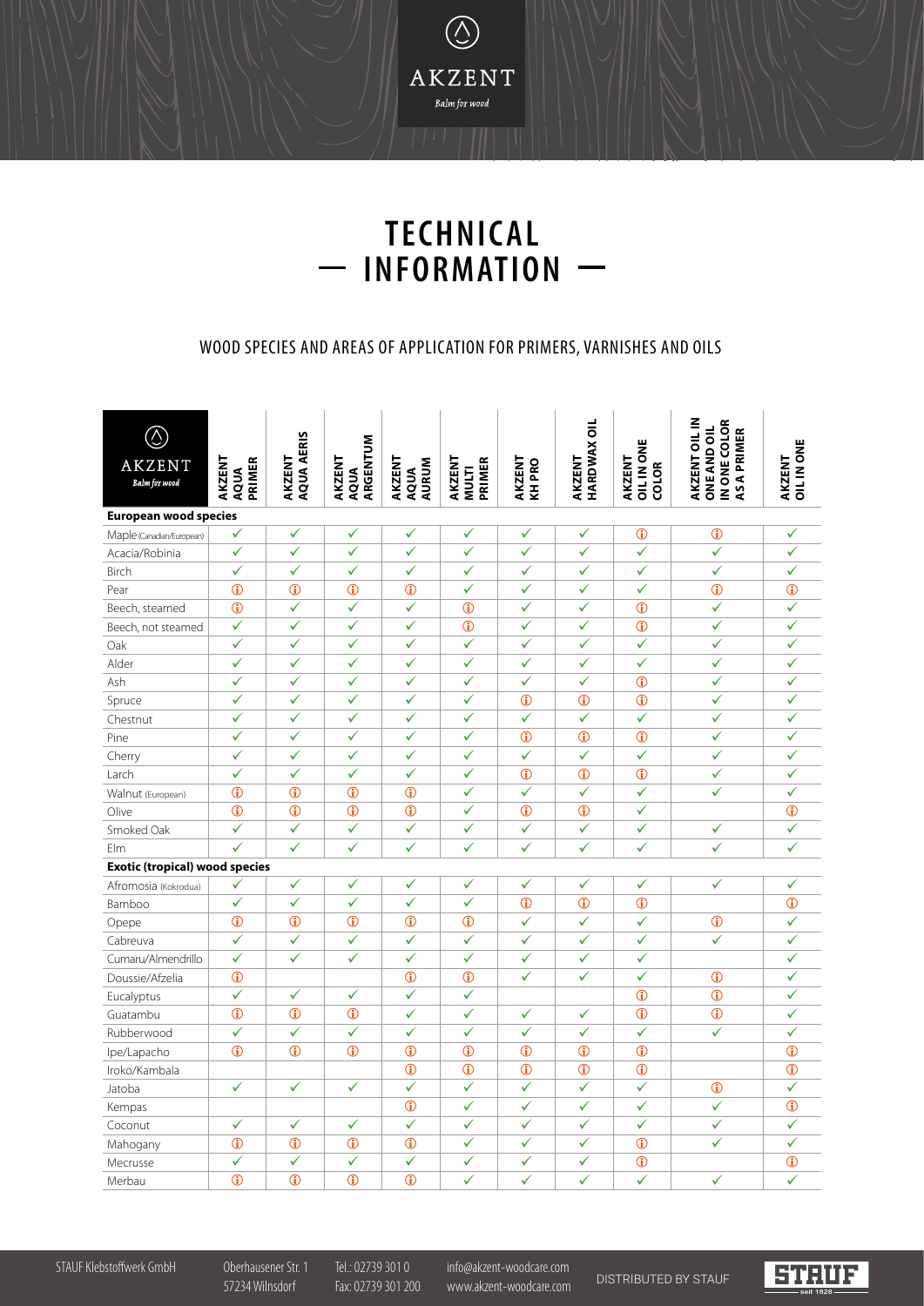

## **TECHNICAL INFORMATION**  $\frac{1}{1}$

## WOOD SPECIES AND AREAS OF APPLICATION FOR PRIMERS, VARNISHES AND OILS

| $\odot$<br><b>AKZENT</b><br>Balm for wood | AKZENT<br><b>PRIMER</b><br>AQUA | <b>AQUA AERIS</b><br>AKZENT | ARGENTUM<br>AKZENT<br>AQUA | AKZENT<br><b>AURUM</b><br>AQUA | AKZENT<br><b>PRIMER</b><br><b>MULTI</b> | AKZENT<br><b>KHPRO</b> | <b>HARDWAX OIL</b><br>AKZENT | <b>OIL IN ONE</b><br>AKZENT<br>COLOR | AKZENT OIL IN<br>IN ONE COLOR<br><b>ONE AND OIL</b><br><b>ASAPRIMER</b> | AKZENT<br>OIL IN ONE |
|-------------------------------------------|---------------------------------|-----------------------------|----------------------------|--------------------------------|-----------------------------------------|------------------------|------------------------------|--------------------------------------|-------------------------------------------------------------------------|----------------------|
| <b>European wood species</b>              |                                 |                             |                            |                                |                                         |                        |                              |                                      |                                                                         |                      |
| Maple (Canadian/European)                 | ✓                               | ✓                           | $\checkmark$               | ✓                              | ✓                                       | $\checkmark$           | ✓                            | $^\circledR$                         | $^\circledR$                                                            | ✓                    |
| Acacia/Robinia                            | $\checkmark$                    | $\checkmark$                | $\checkmark$               | $\checkmark$                   | ✓                                       | $\bar{\checkmark}$     | $\bar{\checkmark}$           | $\checkmark$                         | ✓                                                                       | ✓                    |
| <b>Birch</b>                              | $\checkmark$                    | $\checkmark$                | $\checkmark$               | $\checkmark$                   | ✓                                       | ✓                      | ✓                            | $\checkmark$                         | ✓                                                                       | ✓                    |
| Pear                                      | $\bigcirc$                      | $\bigcirc$                  | $\bigcirc$                 | $\bigcirc$                     | $\checkmark$                            | $\checkmark$           | ✓                            | $\checkmark$                         | $\overline{0}$                                                          | $\mathbf 0$          |
| Beech, steamed                            | $\mathbf{r}$                    | ✓                           | $\checkmark$               | ✓                              | $\mathbf{D}$                            | ✓                      | $\checkmark$                 | $\bigcirc$                           | $\checkmark$                                                            | ✓                    |
| Beech, not steamed                        | $\checkmark$                    | ✓                           | $\checkmark$               | ✓                              | $\overline{0}$                          | $\checkmark$           | $\checkmark$                 | $\overline{0}$                       | ✓                                                                       | ✓                    |
| Oak                                       | $\checkmark$                    | $\checkmark$                | $\checkmark$               | $\checkmark$                   | $\checkmark$                            | $\hat{\checkmark}$     | $\checkmark$                 | $\checkmark$                         | ✓                                                                       | $\checkmark$         |
| Alder                                     | $\checkmark$                    | $\checkmark$                | $\checkmark$               | $\checkmark$                   | ✓                                       | $\checkmark$           | ✓                            | $\checkmark$                         | ✓                                                                       | ✓                    |
| Ash                                       | $\checkmark$                    | ✓                           | $\checkmark$               | ✓                              | ✓                                       | $\bar{\checkmark}$     | ✓                            | $\odot$                              | $\sqrt{2}$                                                              | $\checkmark$         |
| Spruce                                    | $\checkmark$                    | ✓                           | $\checkmark$               | ✓                              | $\checkmark$                            | $\overline{0}$         | $\overline{0}$               | $\bigcirc$                           | ✓                                                                       | ✓                    |
| Chestnut                                  | $\checkmark$                    | $\checkmark$                | $\checkmark$               | $\hat{\checkmark}$             | $\hat{\checkmark}$                      | $\checkmark$           | $\checkmark$                 | $\checkmark$                         | ✓                                                                       | $\checkmark$         |
| Pine                                      | $\checkmark$                    | $\checkmark$                | $\checkmark$               | $\checkmark$                   | $\checkmark$                            | $\bf \Phi$             | $\mathbf 0$                  | $\bigcirc$                           | ✓                                                                       | ✓                    |
| Cherry                                    | $\checkmark$                    | ✓                           | $\checkmark$               | ✓                              | $\checkmark$                            | $\bar{\checkmark}$     | $\bar{\checkmark}$           | $\bar{\checkmark}$                   | $\checkmark$                                                            | $\checkmark$         |
| Larch                                     | $\checkmark$                    | ✓                           | $\checkmark$               | ✓                              | $\checkmark$                            | $\overline{0}$         | $\overline{0}$               | $\overline{0}$                       | ✓                                                                       | $\checkmark$         |
| Walnut (European)                         | $\odot$                         | $\overline{0}$              | $\odot$                    | $\overline{0}$                 | $\sqrt{2}$                              | $\checkmark$           | ✓                            | $\checkmark$                         | ✓                                                                       | $\checkmark$         |
| Olive                                     | $\odot$                         | $\overline{0}$              | $\overline{0}$             | $\overline{0}$                 | $\checkmark$                            | $\bigcirc$             | $\bigcirc$                   | ✓                                    |                                                                         | $^\circledR$         |
| Smoked Oak                                | $\checkmark$                    | $\checkmark$                | $\checkmark$               | ✓                              | $\checkmark$                            | $\checkmark$           | ✓                            | $\checkmark$                         | $\checkmark$                                                            | ✓                    |
| Elm                                       | ✓                               | $\checkmark$                | $\checkmark$               | $\checkmark$                   | $\checkmark$                            | $\checkmark$           | $\checkmark$                 | $\checkmark$                         | ✓                                                                       | $\checkmark$         |
| <b>Exotic (tropical) wood species</b>     |                                 |                             |                            |                                |                                         |                        |                              |                                      |                                                                         |                      |
| Afromosia (Kokrodua)                      | ✓                               | ✓                           | $\checkmark$               | ✓                              | $\checkmark$                            | ✓                      | ✓                            | ✓                                    | ✓                                                                       | ✓                    |
| Bamboo                                    | $\checkmark$                    | $\checkmark$                | $\bar{\checkmark}$         | $\bar{\checkmark}$             | ✓                                       | $\bigcirc$             | $\bigcirc$                   | $\bigcirc$                           |                                                                         | $\mathbf 0$          |
| Opepe                                     | $\mathbf 0$                     | $\mathbf 0$                 | $\mathbf 0$                | $\overline{0}$                 | $\overline{0}$                          | $\checkmark$           | $\checkmark$                 | $\checkmark$                         | $^\circledR$                                                            | ✓                    |
| Cabreuva                                  | $\checkmark$                    | $\checkmark$                | $\checkmark$               | $\checkmark$                   | $\checkmark$                            | $\checkmark$           | $\checkmark$                 | $\checkmark$                         | ✓                                                                       | ✓                    |
| Cumaru/Almendrillo                        | $\checkmark$                    | $\checkmark$                | $\checkmark$               | $\checkmark$                   | $\checkmark$                            | $\checkmark$           | $\checkmark$                 | ✓                                    |                                                                         | ✓                    |
| Doussie/Afzelia                           | $\mathbf 0$                     |                             |                            | $\overline{0}$                 | $\odot$                                 | $\checkmark$           | $\checkmark$                 | $\checkmark$                         | $\mathbf{D}$                                                            | $\checkmark$         |
| Eucalyptus                                | $\checkmark$                    | $\checkmark$                | $\checkmark$               | $\checkmark$                   | ✓                                       |                        |                              | $\overline{0}$                       | $\overline{0}$                                                          | ✓                    |
| Guatambu                                  | $\overline{0}$                  | $\overline{0}$              | $\overline{0}$             | ✓                              | $\checkmark$                            | $\checkmark$           | ✓                            | $\overline{0}$                       | $\overline{0}$                                                          | ✓                    |
| Rubberwood                                | $\checkmark$                    | ✓                           | $\checkmark$               | ✓                              | $\checkmark$                            | $\checkmark$           | ✓                            | ✓                                    | $\checkmark$                                                            | ✓                    |
| Ipe/Lapacho                               | $\bigcirc$                      | $\bigcirc$                  | $\bigcirc$                 | $\overline{0}$                 | $\overline{0}$                          | $\overline{0}$         | $\overline{0}$               | $\overline{0}$                       |                                                                         | $\bigcirc$           |
| Iroko/Kambala                             |                                 |                             |                            | $\overline{0}$                 | $\odot$                                 | $\odot$                | $\overline{0}$               | $\overline{0}$                       |                                                                         | $\mathbf{D}$         |
| Jatoba                                    | $\checkmark$                    | $\checkmark$                | $\checkmark$               | $\checkmark$                   | ✓                                       | $\checkmark$           | $\checkmark$                 | $\checkmark$                         | $\mathbf{D}$                                                            | ✓                    |
| Kempas                                    |                                 |                             |                            | $\bigcirc$                     | $\checkmark$                            | $\checkmark$           | ✓                            | ✓                                    | ✓                                                                       | $\mathbf 0$          |
| Coconut                                   | $\checkmark$                    | $\checkmark$                | $\checkmark$               | ✓                              | $\checkmark$                            | $\checkmark$           | $\checkmark$                 | $\sqrt{2}$                           | ✓                                                                       | ✓                    |
| Mahogany                                  | $\odot$                         | $\overline{0}$              | $\overline{0}$             | $\overline{0}$                 | ✓                                       | ✓                      | ✓                            | $\overline{0}$                       | ✓                                                                       | ✓                    |
| Mecrusse                                  | $\checkmark$                    | $\checkmark$                | $\checkmark$               | ✓                              | $\checkmark$                            | $\checkmark$           | $\mathcal{L}$                | $\overline{0}$                       |                                                                         | $\overline{0}$       |
| Merbau                                    | $\mathbf{D}$                    | $\mathbf{D}$                | $\mathbf{D}$               | $\mathbf{r}$                   | ✓                                       | $\checkmark$           | ✓                            | ✓                                    | ✓                                                                       | ✓                    |

STAUF Klebstoffwerk GmbH Oberhausener Str. 1 Tel.: 02739 301 0 info@akzent-woodcare.com 57234 Wilnsdorf Fax: 02739 301 200 www.akzent-woodcare.com DISTRIBUTED BY STAUF

**STRUF**